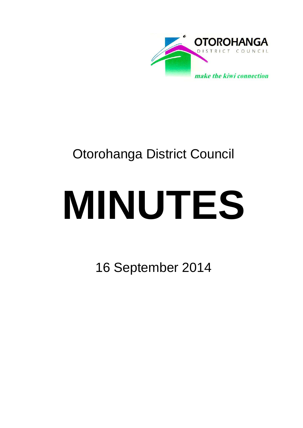

## Otorohanga District Council

# **MINUTES**

16 September 2014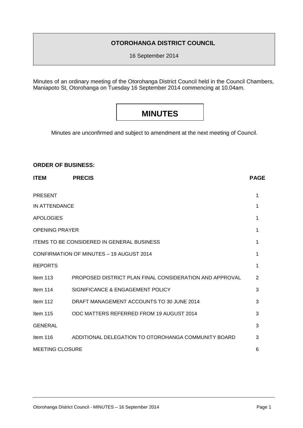#### **OTOROHANGA DISTRICT COUNCIL**

16 September 2014

Minutes of an ordinary meeting of the Otorohanga District Council held in the Council Chambers, Maniapoto St, Otorohanga on Tuesday 16 September 2014 commencing at 10.04am.

### **MINUTES**

Minutes are unconfirmed and subject to amendment at the next meeting of Council.

#### **ORDER OF BUSINESS:**

| <b>ITEM</b>                                       | <b>PRECIS</b>                                           | <b>PAGE</b> |
|---------------------------------------------------|---------------------------------------------------------|-------------|
| <b>PRESENT</b>                                    |                                                         | 1           |
| <b>IN ATTENDANCE</b>                              |                                                         | 1           |
| <b>APOLOGIES</b>                                  |                                                         | 1           |
| <b>OPENING PRAYER</b>                             |                                                         | 1           |
| <b>ITEMS TO BE CONSIDERED IN GENERAL BUSINESS</b> |                                                         | 1           |
| CONFIRMATION OF MINUTES - 19 AUGUST 2014          |                                                         | 1           |
| <b>REPORTS</b>                                    |                                                         | 1           |
| Item $113$                                        | PROPOSED DISTRICT PLAN FINAL CONSIDERATION AND APPROVAL | 2           |
| Item $114$                                        | SIGNIFICANCE & ENGAGEMENT POLICY                        | 3           |
| Item $112$                                        | DRAFT MANAGEMENT ACCOUNTS TO 30 JUNE 2014               | 3           |
| Item $115$                                        | ODC MATTERS REFERRED FROM 19 AUGUST 2014                | 3           |
| <b>GENERAL</b>                                    |                                                         | 3           |
| Item $116$                                        | ADDITIONAL DELEGATION TO OTOROHANGA COMMUNITY BOARD     | 3           |
| <b>MEETING CLOSURE</b>                            |                                                         | 6           |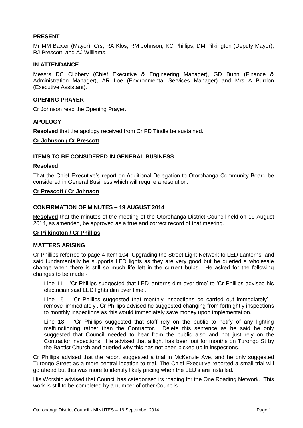#### **PRESENT**

Mr MM Baxter (Mayor), Crs, RA Klos, RM Johnson, KC Phillips, DM Pilkington (Deputy Mayor), RJ Prescott, and AJ Williams.

#### **IN ATTENDANCE**

Messrs DC Clibbery (Chief Executive & Engineering Manager), GD Bunn (Finance & Administration Manager), AR Loe (Environmental Services Manager) and Mrs A Burdon (Executive Assistant).

#### **OPENING PRAYER**

Cr Johnson read the Opening Prayer.

#### **APOLOGY**

**Resolved** that the apology received from Cr PD Tindle be sustained.

#### **Cr Johnson / Cr Prescott**

#### **ITEMS TO BE CONSIDERED IN GENERAL BUSINESS**

#### **Resolved**

That the Chief Executive's report on Additional Delegation to Otorohanga Community Board be considered in General Business which will require a resolution.

#### **Cr Prescott / Cr Johnson**

#### **CONFIRMATION OF MINUTES – 19 AUGUST 2014**

**Resolved** that the minutes of the meeting of the Otorohanga District Council held on 19 August 2014, as amended, be approved as a true and correct record of that meeting.

#### **Cr Pilkington / Cr Phillips**

#### **MATTERS ARISING**

Cr Phillips referred to page 4 Item 104, Upgrading the Street Light Network to LED Lanterns, and said fundamentally he supports LED lights as they are very good but he queried a wholesale change when there is still so much life left in the current bulbs. He asked for the following changes to be made -

- Line 11 'Cr Phillips suggested that LED lanterns dim over time' to 'Cr Phillips advised his electrician said LED lights dim over time'.
- Line 15 'Cr Phillips suggested that monthly inspections be carried out immediately' remove 'immediately'. Cr Phillips advised he suggested changing from fortnightly inspections to monthly inspections as this would immediately save money upon implementation.
- Line 18 'Cr Phillips suggested that staff rely on the public to notify of any lighting malfunctioning rather than the Contractor. Delete this sentence as he said he only suggested that Council needed to hear from the public also and not just rely on the Contractor inspections. He advised that a light has been out for months on Turongo St by the Baptist Church and queried why this has not been picked up in inspections.

Cr Phillips advised that the report suggested a trial in McKenzie Ave, and he only suggested Turongo Street as a more central location to trial. The Chief Executive reported a small trial will go ahead but this was more to identify likely pricing when the LED's are installed.

His Worship advised that Council has categorised its roading for the One Roading Network. This work is still to be completed by a number of other Councils.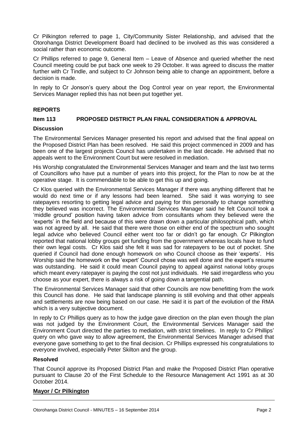Cr Pilkington referred to page 1, City/Community Sister Relationship, and advised that the Otorohanga District Development Board had declined to be involved as this was considered a social rather than economic outcome.

Cr Phillips referred to page 9, General Item – Leave of Absence and queried whether the next Council meeting could be put back one week to 29 October. It was agreed to discuss the matter further with Cr Tindle, and subject to Cr Johnson being able to change an appointment, before a decision is made.

In reply to Cr Jonson's query about the Dog Control year on year report, the Environmental Services Manager replied this has not been put together yet.

#### **REPORTS**

#### **Item 113 PROPOSED DISTRICT PLAN FINAL CONSIDERATION & APPROVAL**

#### **Discussion**

The Environmental Services Manager presented his report and advised that the final appeal on the Proposed District Plan has been resolved. He said this project commenced in 2009 and has been one of the largest projects Council has undertaken in the last decade. He advised that no appeals went to the Environment Court but were resolved in mediation.

His Worship congratulated the Environmental Services Manager and team and the last two terms of Councillors who have put a number of years into this project, for the Plan to now be at the operative stage. It is commendable to be able to get this up and going.

Cr Klos queried with the Environmental Services Manager if there was anything different that he would do next time or if any lessons had been learned. She said it was worrying to see ratepayers resorting to getting legal advice and paying for this personally to change something they believed was incorrect. The Environmental Services Manager said he felt Council took a 'middle ground' position having taken advice from consultants whom they believed were the 'experts' in the field and because of this were drawn down a particular philosophical path, which was not agreed by all. He said that there were those on either end of the spectrum who sought legal advice who believed Council either went too far or didn't go far enough. Cr Pilkington reported that national lobby groups get funding from the government whereas locals have to fund their own legal costs. Cr Klos said she felt it was sad for ratepayers to be out of pocket. She queried if Council had done enough homework on who Council choose as their 'experts'. His Worship said the homework on the 'expert' Council chose was well done and the expert's resume was outstanding. He said it could mean Council paying to appeal against national lobby groups which meant every ratepayer is paying the cost not just individuals. He said irregardless who you choose as your expert, there is always a risk of going down a tangential path.

The Environmental Services Manager said that other Councils are now benefitting from the work this Council has done. He said that landscape planning is still evolving and that other appeals and settlements are now being based on our case. He said it is part of the evolution of the RMA which is a very subjective document.

In reply to Cr Phillips query as to how the judge gave direction on the plan even though the plan was not judged by the Environment Court, the Environmental Services Manager said the Environment Court directed the parties to mediation, with strict timelines. In reply to Cr Phillips' query on who gave way to allow agreement, the Environmental Services Manager advised that everyone gave something to get to the final decision. Cr Phillips expressed his congratulations to everyone involved, especially Peter Skilton and the group.

#### **Resolved**

That Council approve its Proposed District Plan and make the Proposed District Plan operative pursuant to Clause 20 of the First Schedule to the Resource Management Act 1991 as at 30 October 2014.

#### **Mayor / Cr Pilkington**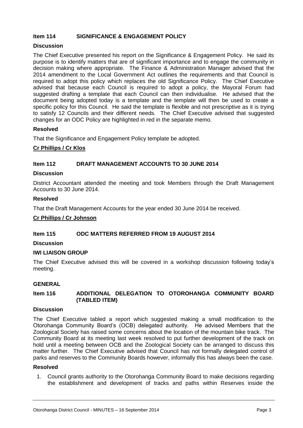#### **Item 114 SIGNIFICANCE & ENGAGEMENT POLICY**

#### **Discussion**

The Chief Executive presented his report on the Significance & Engagement Policy. He said its purpose is to identify matters that are of significant importance and to engage the community in decision making where appropriate. The Finance & Administration Manager advised that the 2014 amendment to the Local Government Act outlines the requirements and that Council is required to adopt this policy which replaces the old Significance Policy. The Chief Executive advised that because each Council is required to adopt a policy, the Mayoral Forum had suggested drafting a template that each Council can then individualise. He advised that the document being adopted today is a template and the template will then be used to create a specific policy for this Council. He said the template is flexible and not prescriptive as it is trying to satisfy 12 Councils and their different needs. The Chief Executive advised that suggested changes for an ODC Policy are highlighted in red in the separate memo.

#### **Resolved**

That the Significance and Engagement Policy template be adopted.

#### **Cr Phillips / Cr Klos**

#### **Item 112 DRAFT MANAGEMENT ACCOUNTS TO 30 JUNE 2014**

#### **Discussion**

District Accountant attended the meeting and took Members through the Draft Management Accounts to 30 June 2014.

#### **Resolved**

That the Draft Management Accounts for the year ended 30 June 2014 be received.

#### **Cr Phillips / Cr Johnson**

#### **Item 115 ODC MATTERS REFERRED FROM 19 AUGUST 2014**

#### **Discussion**

#### **IWI LIAISON GROUP**

The Chief Executive advised this will be covered in a workshop discussion following today's meeting.

#### **GENERAL**

#### **Item 116 ADDITIONAL DELEGATION TO OTOROHANGA COMMUNITY BOARD (TABLED ITEM)**

#### **Discussion**

The Chief Executive tabled a report which suggested making a small modification to the Otorohanga Community Board's (OCB) delegated authority. He advised Members that the Zoological Society has raised some concerns about the location of the mountain bike track. The Community Board at its meeting last week resolved to put further development of the track on hold until a meeting between OCB and the Zoological Society can be arranged to discuss this matter further. The Chief Executive advised that Council has not formally delegated control of parks and reserves to the Community Boards however, informally this has always been the case.

#### **Resolved**

1. Council grants authority to the Otorohanga Community Board to make decisions regarding the establishment and development of tracks and paths within Reserves inside the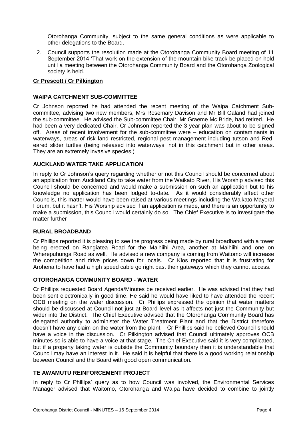Otorohanga Community, subject to the same general conditions as were applicable to other delegations to the Board.

2. Council supports the resolution made at the Otorohanga Community Board meeting of 11 September 2014 'That work on the extension of the mountain bike track be placed on hold until a meeting between the Otorohanga Community Board and the Otorohanga Zoological society is held.

#### **Cr Prescott / Cr Pilkington**

#### **WAIPA CATCHMENT SUB-COMMITTEE**

Cr Johnson reported he had attended the recent meeting of the Waipa Catchment Subcommittee, advising two new members, Mrs Rosemary Davison and Mr Bill Galand had joined the sub-committee. He advised the Sub-committee Chair, Mr Graeme Mc Bride, had retired. He had been a very dedicated Chair. Cr Johnson reported the 3 year plan was about to be signed off. Areas of recent involvement for the sub-committee were – education on contaminants in waterways, areas of risk land restricted, regional pest management including tutson and Redeared slider turtles (being released into waterways, not in this catchment but in other areas. They are an extremely invasive species.)

#### **AUCKLAND WATER TAKE APPLICATION**

In reply to Cr Johnson's query regarding whether or not this Council should be concerned about an application from Auckland City to take water from the Waikato River, His Worship advised this Council should be concerned and would make a submission on such an application but to his knowledge no application has been lodged to-date. As it would considerably affect other Councils, this matter would have been raised at various meetings including the Waikato Mayoral Forum, but it hasn't. His Worship advised if an application is made, and there is an opportunity to make a submission, this Council would certainly do so. The Chief Executive is to investigate the matter further

#### **RURAL BROADBAND**

Cr Phillips reported it is pleasing to see the progress being made by rural broadband with a tower being erected on Rangiatea Road for the Maihiihi Area, another at Maihiihi and one on Wherepuhunga Road as well. He advised a new company is coming from Waitomo will increase the competition and drive prices down for locals. Cr Klos reported that it is frustrating for Arohena to have had a high speed cable go right past their gateways which they cannot access.

#### **OTOROHANGA COMMUNITY BOARD - WATER**

Cr Phillips requested Board Agenda/Minutes be received earlier. He was advised that they had been sent electronically in good time. He said he would have liked to have attended the recent OCB meeting on the water discussion. Cr Phillips expressed the opinion that water matters should be discussed at Council not just at Board level as it affects not just the Community but wider into the District. The Chief Executive advised that the Otorohanga Community Board has delegated authority to administer the Water Treatment Plant and that the District therefore doesn't have any claim on the water from the plant. Cr Phillips said he believed Council should have a voice in the discussion. Cr Pilkington advised that Council ultimately approves OCB minutes so is able to have a voice at that stage. The Chief Executive said it is very complicated, but if a property taking water is outside the Community boundary then it is understandable that Council may have an interest in it. He said it is helpful that there is a good working relationship between Council and the Board with good open communication.

#### **TE AWAMUTU REINFORCEMENT PROJECT**

In reply to Cr Phillips' query as to how Council was involved, the Environmental Services Manager advised that Waitomo, Otorohanga and Waipa have decided to combine to jointly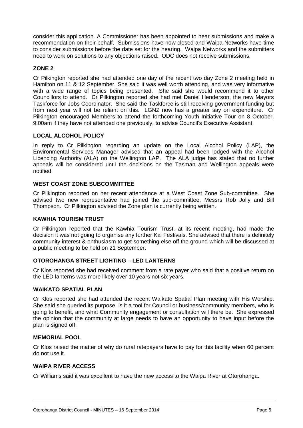consider this application. A Commissioner has been appointed to hear submissions and make a recommendation on their behalf. Submissions have now closed and Waipa Networks have time to consider submissions before the date set for the hearing. Waipa Networks and the submitters need to work on solutions to any objections raised. ODC does not receive submissions.

#### **ZONE 2**

Cr Pilkington reported she had attended one day of the recent two day Zone 2 meeting held in Hamilton on 11 & 12 September. She said it was well worth attending, and was very informative with a wide range of topics being presented. She said she would recommend it to other Councillors to attend. Cr Pilkington reported she had met Daniel Henderson, the new Mayors Taskforce for Jobs Coordinator. She said the Taskforce is still receiving government funding but from next year will not be reliant on this. LGNZ now has a greater say on expenditure. Cr Pilkington encouraged Members to attend the forthcoming Youth Initiative Tour on 8 October, 9.00am if they have not attended one previously, to advise Council's Executive Assistant.

#### **LOCAL ALCOHOL POLICY**

In reply to Cr Pilkington regarding an update on the Local Alcohol Policy (LAP), the Environmental Services Manager advised that an appeal had been lodged with the Alcohol Licencing Authority (ALA) on the Wellington LAP. The ALA judge has stated that no further appeals will be considered until the decisions on the Tasman and Wellington appeals were notified.

#### **WEST COAST ZONE SUBCOMMITTEE**

Cr Pilkington reported on her recent attendance at a West Coast Zone Sub-committee. She advised two new representative had joined the sub-committee, Messrs Rob Jolly and Bill Thompson. Cr Pilkington advised the Zone plan is currently being written.

#### **KAWHIA TOURISM TRUST**

Cr Pilkington reported that the Kawhia Tourism Trust, at its recent meeting, had made the decision it was not going to organise any further Kai Festivals. She advised that there is definitely community interest & enthusiasm to get something else off the ground which will be discussed at a public meeting to be held on 21 September.

#### **OTOROHANGA STREET LIGHTING – LED LANTERNS**

Cr Klos reported she had received comment from a rate payer who said that a positive return on the LED lanterns was more likely over 10 years not six years.

#### **WAIKATO SPATIAL PLAN**

Cr Klos reported she had attended the recent Waikato Spatial Plan meeting with His Worship. She said she queried its purpose, is it a tool for Council or business/community members, who is going to benefit, and what Community engagement or consultation will there be. She expressed the opinion that the community at large needs to have an opportunity to have input before the plan is signed off.

#### **MEMORIAL POOL**

Cr Klos raised the matter of why do rural ratepayers have to pay for this facility when 60 percent do not use it.

#### **WAIPA RIVER ACCESS**

Cr Williams said it was excellent to have the new access to the Waipa River at Otorohanga.